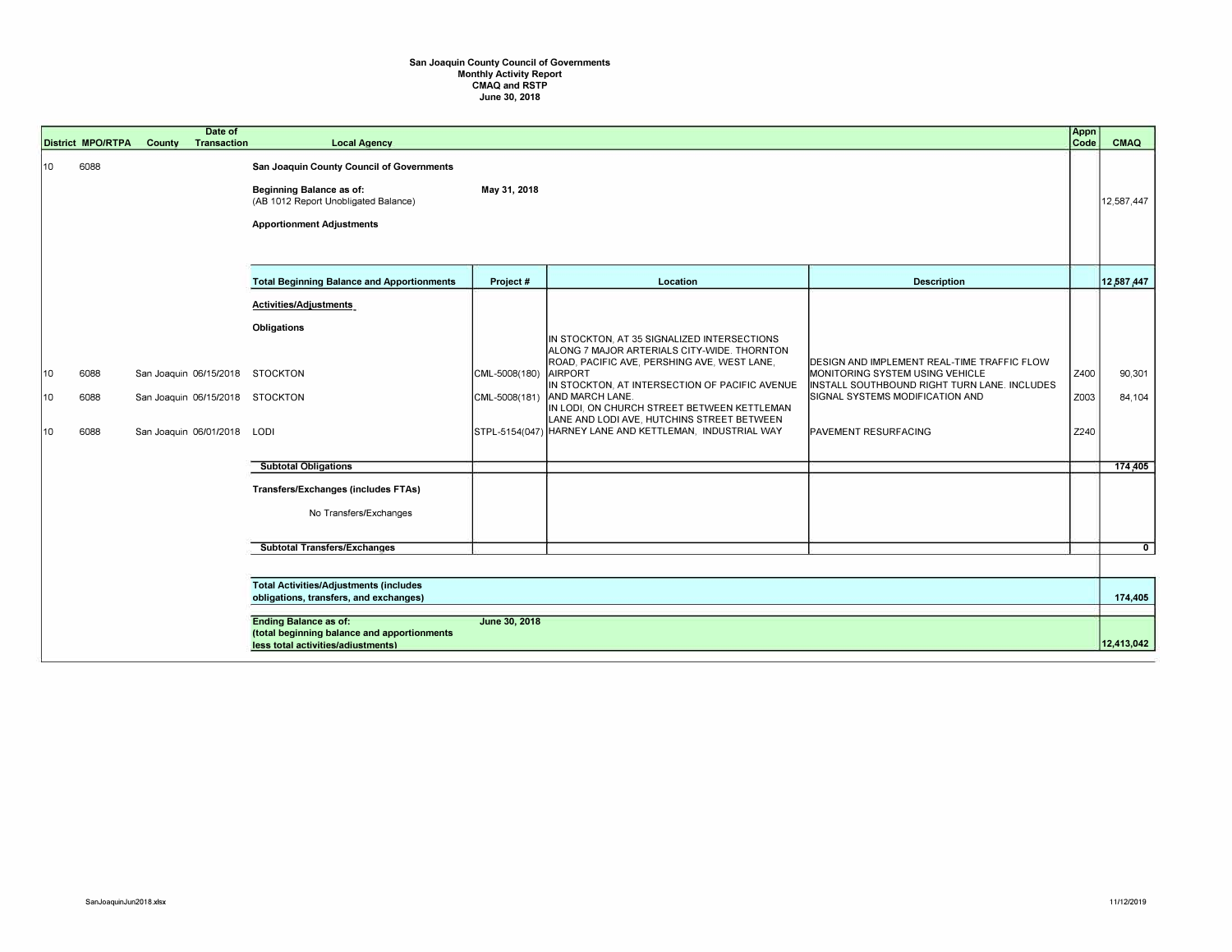## San Joaquin County Council of Governments<br>Monthly Activity Report<br>CMAQ and RSTP<br>June 30, 2018

|                | <b>District MPO/RTPA</b> | Date of<br>County<br><b>Transaction</b>                                                                                            | <b>Local Agency</b>                                                                                                                                      |                                |                                                                                                                                                                                                                                                                                                                                                                                           |                                                                                                                                                                                           | Appn<br>Code         | CMAQ                        |
|----------------|--------------------------|------------------------------------------------------------------------------------------------------------------------------------|----------------------------------------------------------------------------------------------------------------------------------------------------------|--------------------------------|-------------------------------------------------------------------------------------------------------------------------------------------------------------------------------------------------------------------------------------------------------------------------------------------------------------------------------------------------------------------------------------------|-------------------------------------------------------------------------------------------------------------------------------------------------------------------------------------------|----------------------|-----------------------------|
| 10             | 6088                     |                                                                                                                                    | San Joaquin County Council of Governments<br><b>Beginning Balance as of:</b><br>(AB 1012 Report Unobligated Balance)<br><b>Apportionment Adjustments</b> | May 31, 2018                   |                                                                                                                                                                                                                                                                                                                                                                                           |                                                                                                                                                                                           |                      | 12,587,447                  |
|                |                          |                                                                                                                                    | <b>Total Beginning Balance and Apportionments</b>                                                                                                        | Project#                       | Location                                                                                                                                                                                                                                                                                                                                                                                  | <b>Description</b>                                                                                                                                                                        |                      | 12,587,447                  |
| 10<br>10<br>10 | 6088<br>6088<br>6088     | San Joaquin 06/15/2018 STOCKTON<br>San Joaquin 06/15/2018 STOCKTON<br>San Joaquin 06/01/2018 LODI                                  | <b>Activities/Adjustments</b><br><b>Obligations</b><br><b>Subtotal Obligations</b><br>Transfers/Exchanges (includes FTAs)<br>No Transfers/Exchanges      | CML-5008(180)<br>CML-5008(181) | IN STOCKTON, AT 35 SIGNALIZED INTERSECTIONS<br>ALONG 7 MAJOR ARTERIALS CITY-WIDE. THORNTON<br>ROAD, PACIFIC AVE, PERSHING AVE, WEST LANE,<br><b>AIRPORT</b><br>IN STOCKTON, AT INTERSECTION OF PACIFIC AVENUE<br>AND MARCH LANE.<br>IN LODI, ON CHURCH STREET BETWEEN KETTLEMAN<br>LANE AND LODI AVE, HUTCHINS STREET BETWEEN<br>STPL-5154(047) HARNEY LANE AND KETTLEMAN, INDUSTRIAL WAY | DESIGN AND IMPLEMENT REAL-TIME TRAFFIC FLOW<br>MONITORING SYSTEM USING VEHICLE<br>INSTALL SOUTHBOUND RIGHT TURN LANE. INCLUDES<br>SIGNAL SYSTEMS MODIFICATION AND<br>PAVEMENT RESURFACING | Z400<br>Z003<br>Z240 | 90,301<br>84,104<br>174,405 |
|                |                          |                                                                                                                                    | <b>Subtotal Transfers/Exchanges</b>                                                                                                                      |                                |                                                                                                                                                                                                                                                                                                                                                                                           |                                                                                                                                                                                           |                      | $\overline{0}$              |
|                |                          | <b>Total Activities/Adjustments (includes</b><br>obligations, transfers, and exchanges)                                            |                                                                                                                                                          |                                |                                                                                                                                                                                                                                                                                                                                                                                           |                                                                                                                                                                                           |                      | 174,405                     |
|                |                          |                                                                                                                                    |                                                                                                                                                          |                                |                                                                                                                                                                                                                                                                                                                                                                                           |                                                                                                                                                                                           |                      |                             |
|                |                          | June 30, 2018<br><b>Ending Balance as of:</b><br>(total beginning balance and apportionments<br>less total activities/adiustments) |                                                                                                                                                          |                                |                                                                                                                                                                                                                                                                                                                                                                                           |                                                                                                                                                                                           |                      | 12,413,042                  |